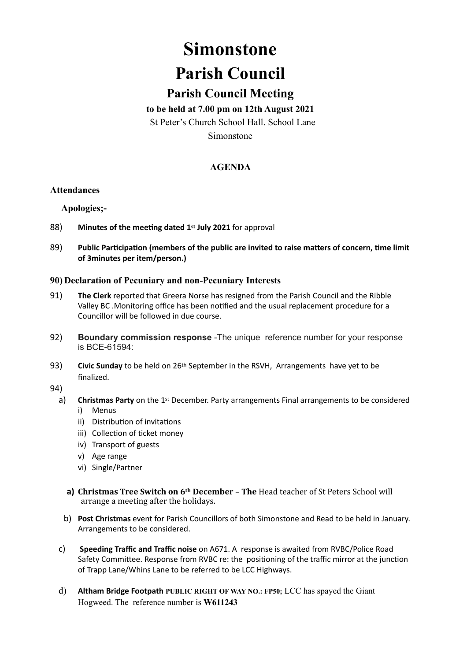# **Simonstone**

## **Parish Council**

### **Parish Council Meeting**

#### **to be held at 7.00 pm on 12th August 2021**

St Peter's Church School Hall. School Lane

Simonstone

#### **AGENDA**

#### **Attendances**

**Apologies;-**

- 88) **Minutes of the meeting dated 1st July 2021** for approval
- 89) **Public Participation (members of the public are invited to raise matters of concern, time limit of 3minutes per item/person.)**

#### **90) Declaration of Pecuniary and non-Pecuniary Interests**

- 91) **The Clerk** reported that Greera Norse has resigned from the Parish Council and the Ribble Valley BC .Monitoring office has been notified and the usual replacement procedure for a Councillor will be followed in due course.
- 92) **Boundary commission response** -The unique reference number for your response is BCE-61594:
- 93) **Civic Sunday** to be held on 26th September in the RSVH, Arrangements have yet to be finalized.
- 94)
	- a) **Christmas Party** on the 1st December. Party arrangements Final arrangements to be considered i) Menus
		- ii) Distribution of invitations
		- iii) Collection of ticket money
		- iv) Transport of guests
		- v) Age range
		- vi) Single/Partner
		- **a)** Christmas Tree Switch on 6<sup>th</sup> December The Head teacher of St Peters School will arrange a meeting after the holidays.
		- b) **Post Christmas** event for Parish Councillors of both Simonstone and Read to be held in January. Arrangements to be considered.
	- c) **Speeding Traffic and Traffic noise** on A671. A response is awaited from RVBC/Police Road Safety Committee. Response from RVBC re: the positioning of the traffic mirror at the junction of Trapp Lane/Whins Lane to be referred to be LCC Highways.
	- d) **Altham Bridge Footpath PUBLIC RIGHT OF WAY NO.: FP50;** LCC has spayed the Giant Hogweed. The reference number is **W611243**